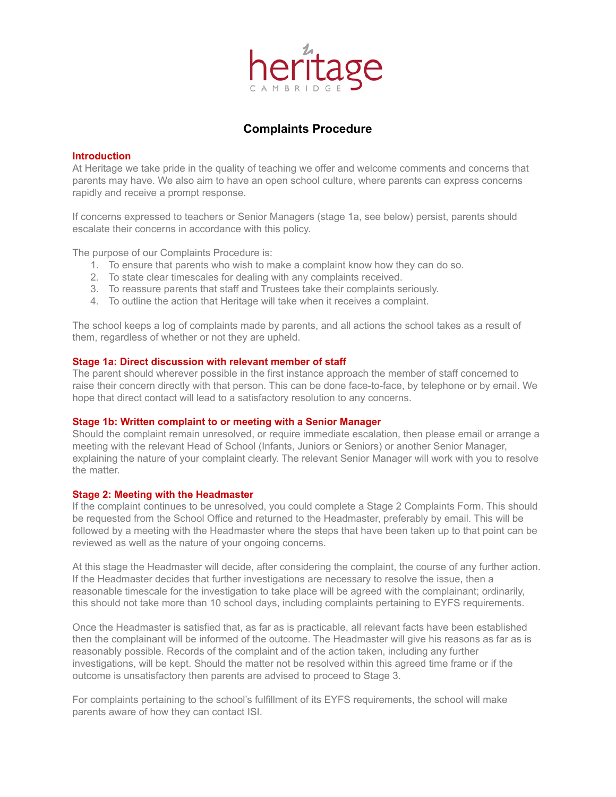

# **Complaints Procedure**

#### **Introduction**

At Heritage we take pride in the quality of teaching we offer and welcome comments and concerns that parents may have. We also aim to have an open school culture, where parents can express concerns rapidly and receive a prompt response.

If concerns expressed to teachers or Senior Managers (stage 1a, see below) persist, parents should escalate their concerns in accordance with this policy.

The purpose of our Complaints Procedure is:

- 1. To ensure that parents who wish to make a complaint know how they can do so.
- 2. To state clear timescales for dealing with any complaints received.
- 3. To reassure parents that staff and Trustees take their complaints seriously.
- 4. To outline the action that Heritage will take when it receives a complaint.

The school keeps a log of complaints made by parents, and all actions the school takes as a result of them, regardless of whether or not they are upheld.

#### **Stage 1a: Direct discussion with relevant member of staff**

The parent should wherever possible in the first instance approach the member of staff concerned to raise their concern directly with that person. This can be done face-to-face, by telephone or by email. We hope that direct contact will lead to a satisfactory resolution to any concerns.

### **Stage 1b: Written complaint to or meeting with a Senior Manager**

Should the complaint remain unresolved, or require immediate escalation, then please email or arrange a meeting with the relevant Head of School (Infants, Juniors or Seniors) or another Senior Manager, explaining the nature of your complaint clearly. The relevant Senior Manager will work with you to resolve the matter.

### **Stage 2: Meeting with the Headmaster**

If the complaint continues to be unresolved, you could complete a Stage 2 Complaints Form. This should be requested from the School Office and returned to the Headmaster, preferably by email. This will be followed by a meeting with the Headmaster where the steps that have been taken up to that point can be reviewed as well as the nature of your ongoing concerns.

At this stage the Headmaster will decide, after considering the complaint, the course of any further action. If the Headmaster decides that further investigations are necessary to resolve the issue, then a reasonable timescale for the investigation to take place will be agreed with the complainant; ordinarily, this should not take more than 10 school days, including complaints pertaining to EYFS requirements.

Once the Headmaster is satisfied that, as far as is practicable, all relevant facts have been established then the complainant will be informed of the outcome. The Headmaster will give his reasons as far as is reasonably possible. Records of the complaint and of the action taken, including any further investigations, will be kept. Should the matter not be resolved within this agreed time frame or if the outcome is unsatisfactory then parents are advised to proceed to Stage 3.

For complaints pertaining to the school's fulfillment of its EYFS requirements, the school will make parents aware of how they can contact ISI.